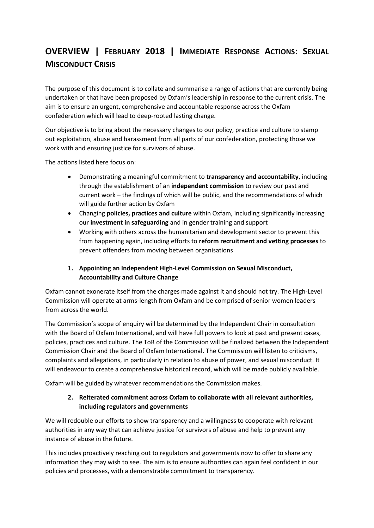# **OVERVIEW | FEBRUARY 2018 | IMMEDIATE RESPONSE ACTIONS: SEXUAL MISCONDUCT CRISIS**

The purpose of this document is to collate and summarise a range of actions that are currently being undertaken or that have been proposed by Oxfam's leadership in response to the current crisis. The aim is to ensure an urgent, comprehensive and accountable response across the Oxfam confederation which will lead to deep-rooted lasting change.

Our objective is to bring about the necessary changes to our policy, practice and culture to stamp out exploitation, abuse and harassment from all parts of our confederation, protecting those we work with and ensuring justice for survivors of abuse.

The actions listed here focus on:

- Demonstrating a meaningful commitment to **transparency and accountability**, including through the establishment of an **independent commission** to review our past and current work – the findings of which will be public, and the recommendations of which will guide further action by Oxfam
- Changing **policies, practices and culture** within Oxfam, including significantly increasing our **investment in safeguarding** and in gender training and support
- Working with others across the humanitarian and development sector to prevent this from happening again, including efforts to **reform recruitment and vetting processes** to prevent offenders from moving between organisations

# **1. Appointing an Independent High-Level Commission on Sexual Misconduct, Accountability and Culture Change**

Oxfam cannot exonerate itself from the charges made against it and should not try. The High-Level Commission will operate at arms-length from Oxfam and be comprised of senior women leaders from across the world.

The Commission's scope of enquiry will be determined by the Independent Chair in consultation with the Board of Oxfam International, and will have full powers to look at past and present cases, policies, practices and culture. The ToR of the Commission will be finalized between the Independent Commission Chair and the Board of Oxfam International. The Commission will listen to criticisms, complaints and allegations, in particularly in relation to abuse of power, and sexual misconduct. It will endeavour to create a comprehensive historical record, which will be made publicly available.

Oxfam will be guided by whatever recommendations the Commission makes.

## **2. Reiterated commitment across Oxfam to collaborate with all relevant authorities, including regulators and governments**

We will redouble our efforts to show transparency and a willingness to cooperate with relevant authorities in any way that can achieve justice for survivors of abuse and help to prevent any instance of abuse in the future.

This includes proactively reaching out to regulators and governments now to offer to share any information they may wish to see. The aim is to ensure authorities can again feel confident in our policies and processes, with a demonstrable commitment to transparency.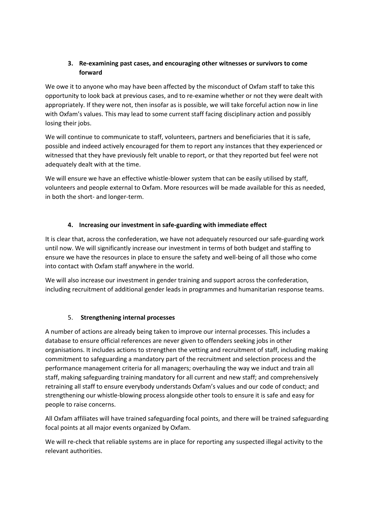## **3. Re-examining past cases, and encouraging other witnesses or survivors to come forward**

We owe it to anyone who may have been affected by the misconduct of Oxfam staff to take this opportunity to look back at previous cases, and to re-examine whether or not they were dealt with appropriately. If they were not, then insofar as is possible, we will take forceful action now in line with Oxfam's values. This may lead to some current staff facing disciplinary action and possibly losing their jobs.

We will continue to communicate to staff, volunteers, partners and beneficiaries that it is safe, possible and indeed actively encouraged for them to report any instances that they experienced or witnessed that they have previously felt unable to report, or that they reported but feel were not adequately dealt with at the time.

We will ensure we have an effective whistle-blower system that can be easily utilised by staff, volunteers and people external to Oxfam. More resources will be made available for this as needed, in both the short- and longer-term.

## **4. Increasing our investment in safe-guarding with immediate effect**

It is clear that, across the confederation, we have not adequately resourced our safe-guarding work until now. We will significantly increase our investment in terms of both budget and staffing to ensure we have the resources in place to ensure the safety and well-being of all those who come into contact with Oxfam staff anywhere in the world.

We will also increase our investment in gender training and support across the confederation, including recruitment of additional gender leads in programmes and humanitarian response teams.

#### 5. **Strengthening internal processes**

A number of actions are already being taken to improve our internal processes. This includes a database to ensure official references are never given to offenders seeking jobs in other organisations. It includes actions to strengthen the vetting and recruitment of staff, including making commitment to safeguarding a mandatory part of the recruitment and selection process and the performance management criteria for all managers; overhauling the way we induct and train all staff, making safeguarding training mandatory for all current and new staff; and comprehensively retraining all staff to ensure everybody understands Oxfam's values and our code of conduct; and strengthening our whistle-blowing process alongside other tools to ensure it is safe and easy for people to raise concerns.

All Oxfam affiliates will have trained safeguarding focal points, and there will be trained safeguarding focal points at all major events organized by Oxfam.

We will re-check that reliable systems are in place for reporting any suspected illegal activity to the relevant authorities.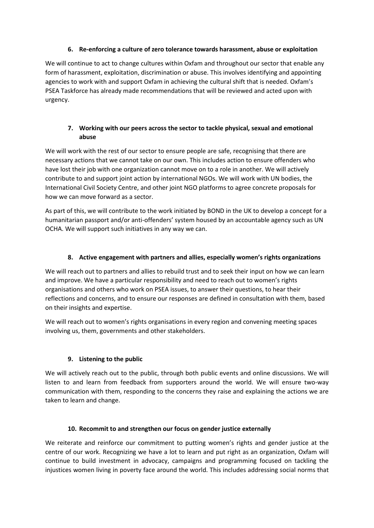### **6. Re-enforcing a culture of zero tolerance towards harassment, abuse or exploitation**

We will continue to act to change cultures within Oxfam and throughout our sector that enable any form of harassment, exploitation, discrimination or abuse. This involves identifying and appointing agencies to work with and support Oxfam in achieving the cultural shift that is needed. Oxfam's PSEA Taskforce has already made recommendations that will be reviewed and acted upon with urgency.

## **7. Working with our peers across the sector to tackle physical, sexual and emotional abuse**

We will work with the rest of our sector to ensure people are safe, recognising that there are necessary actions that we cannot take on our own. This includes action to ensure offenders who have lost their job with one organization cannot move on to a role in another. We will actively contribute to and support joint action by international NGOs. We will work with UN bodies, the International Civil Society Centre, and other joint NGO platforms to agree concrete proposals for how we can move forward as a sector.

As part of this, we will contribute to the work initiated by BOND in the UK to develop a concept for a humanitarian passport and/or anti-offenders' system housed by an accountable agency such as UN OCHA. We will support such initiatives in any way we can.

# **8. Active engagement with partners and allies, especially women's rights organizations**

We will reach out to partners and allies to rebuild trust and to seek their input on how we can learn and improve. We have a particular responsibility and need to reach out to women's rights organisations and others who work on PSEA issues, to answer their questions, to hear their reflections and concerns, and to ensure our responses are defined in consultation with them, based on their insights and expertise.

We will reach out to women's rights organisations in every region and convening meeting spaces involving us, them, governments and other stakeholders.

#### **9. Listening to the public**

We will actively reach out to the public, through both public events and online discussions. We will listen to and learn from feedback from supporters around the world. We will ensure two-way communication with them, responding to the concerns they raise and explaining the actions we are taken to learn and change.

#### **10. Recommit to and strengthen our focus on gender justice externally**

We reiterate and reinforce our commitment to putting women's rights and gender justice at the centre of our work. Recognizing we have a lot to learn and put right as an organization, Oxfam will continue to build investment in advocacy, campaigns and programming focused on tackling the injustices women living in poverty face around the world. This includes addressing social norms that